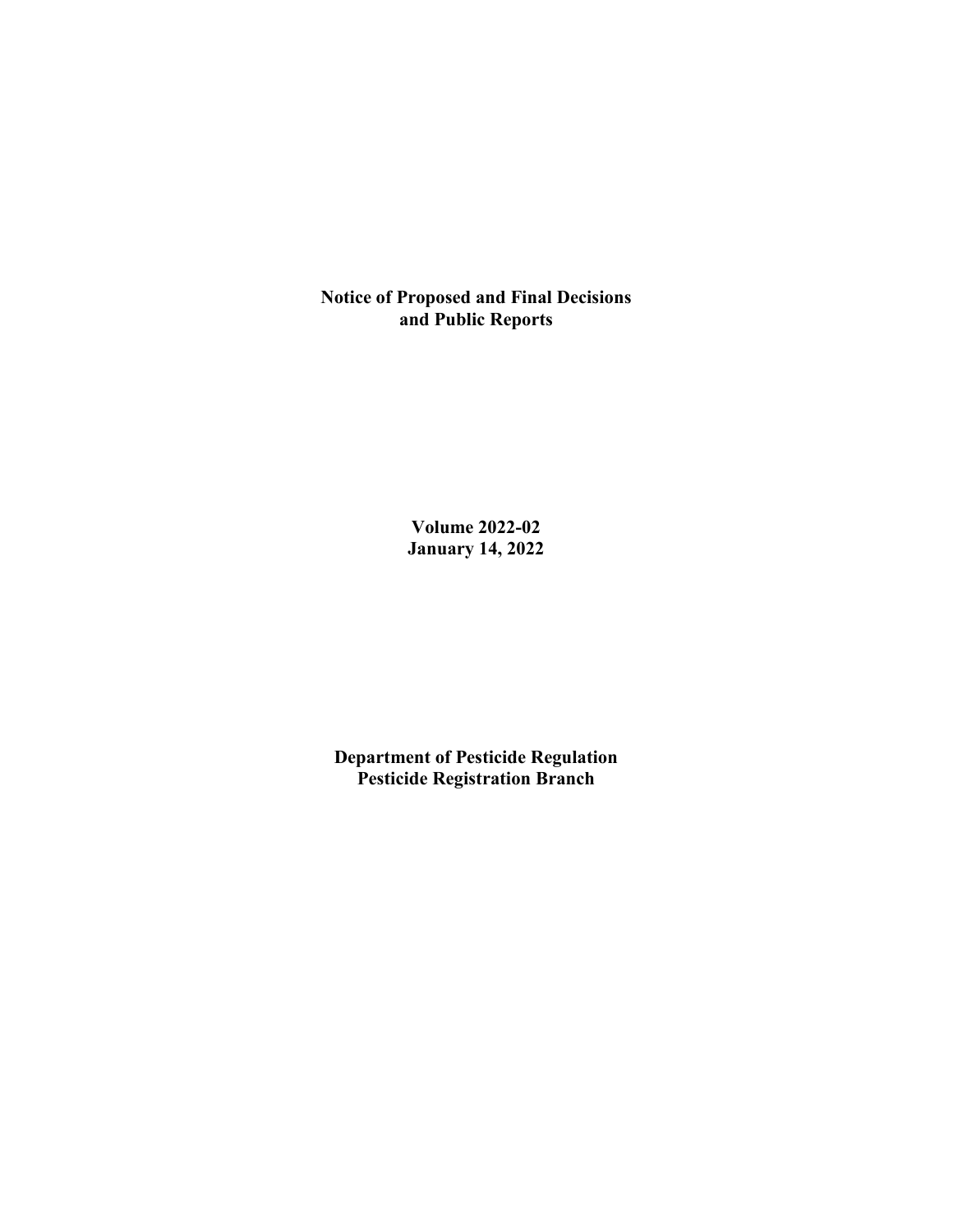**Notice of Proposed and Final Decisions and Public Reports**

> **Volume 2022-02 January 14, 2022**

**Department of Pesticide Regulation Pesticide Registration Branch**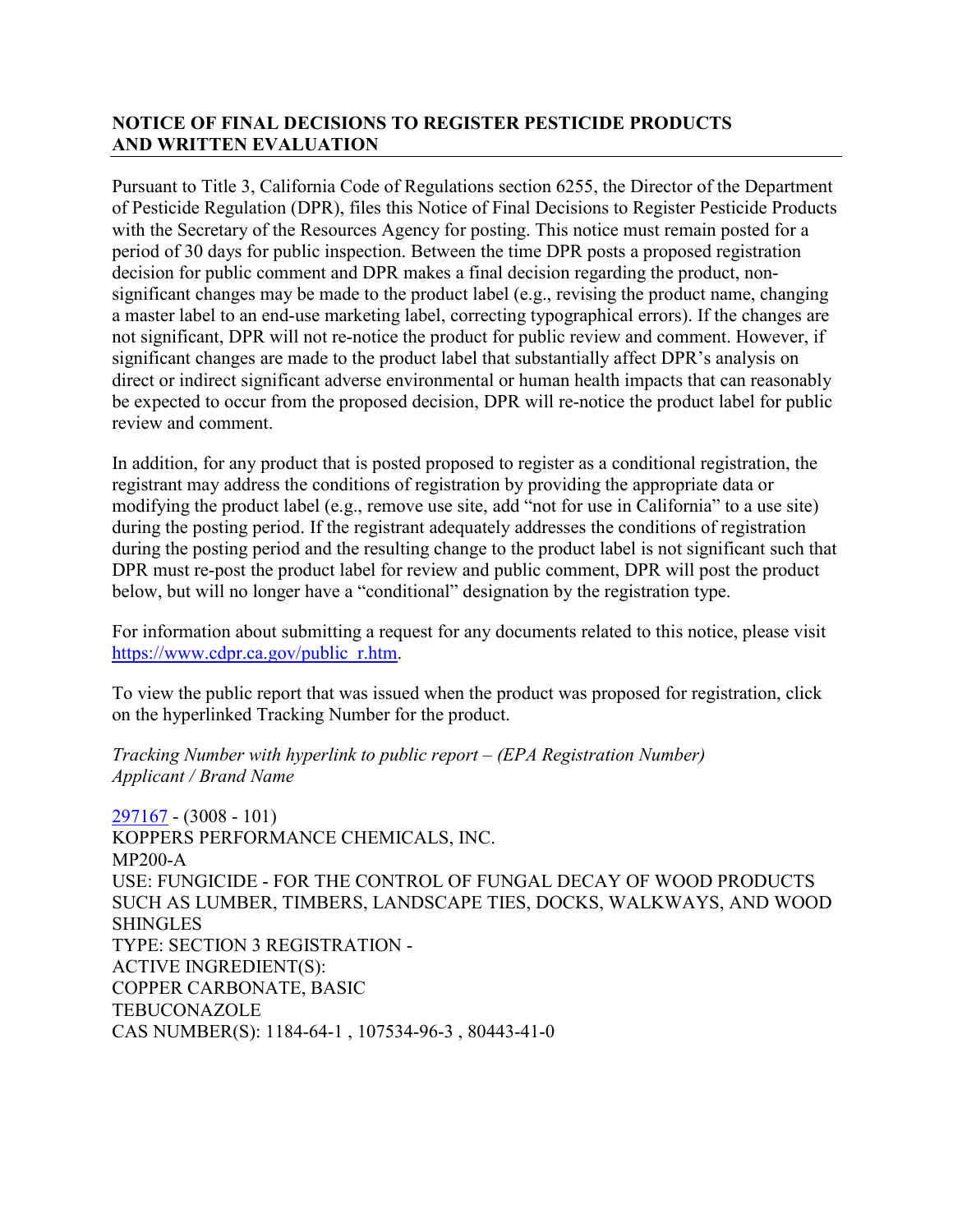# **NOTICE OF FINAL DECISIONS TO REGISTER PESTICIDE PRODUCTS AND WRITTEN EVALUATION**

Pursuant to Title 3, California Code of Regulations section 6255, the Director of the Department of Pesticide Regulation (DPR), files this Notice of Final Decisions to Register Pesticide Products with the Secretary of the Resources Agency for posting. This notice must remain posted for a period of 30 days for public inspection. Between the time DPR posts a proposed registration decision for public comment and DPR makes a final decision regarding the product, nonsignificant changes may be made to the product label (e.g., revising the product name, changing a master label to an end-use marketing label, correcting typographical errors). If the changes are not significant, DPR will not re-notice the product for public review and comment. However, if significant changes are made to the product label that substantially affect DPR's analysis on direct or indirect significant adverse environmental or human health impacts that can reasonably be expected to occur from the proposed decision, DPR will re-notice the product label for public review and comment.

In addition, for any product that is posted proposed to register as a conditional registration, the registrant may address the conditions of registration by providing the appropriate data or modifying the product label (e.g., remove use site, add "not for use in California" to a use site) during the posting period. If the registrant adequately addresses the conditions of registration during the posting period and the resulting change to the product label is not significant such that DPR must re-post the product label for review and public comment, DPR will post the product below, but will no longer have a "conditional" designation by the registration type.

For information about submitting a request for any documents related to this notice, please visit [https://www.cdpr.ca.gov/public\\_r.htm.](https://www.cdpr.ca.gov/public_r.htm)

To view the public report that was issued when the product was proposed for registration, click on the hyperlinked Tracking Number for the product.

## *Tracking Number with hyperlink to public report – (EPA Registration Number) Applicant / Brand Name*

[297167](https://www.cdpr.ca.gov/docs/registration/nod/public_reports/297167.pdf) - (3008 - 101) KOPPERS PERFORMANCE CHEMICALS, INC. MP200-A USE: FUNGICIDE - FOR THE CONTROL OF FUNGAL DECAY OF WOOD PRODUCTS SUCH AS LUMBER, TIMBERS, LANDSCAPE TIES, DOCKS, WALKWAYS, AND WOOD **SHINGLES** TYPE: SECTION 3 REGISTRATION - ACTIVE INGREDIENT(S): COPPER CARBONATE, BASIC TEBUCONAZOLE CAS NUMBER(S): 1184-64-1 , 107534-96-3 , 80443-41-0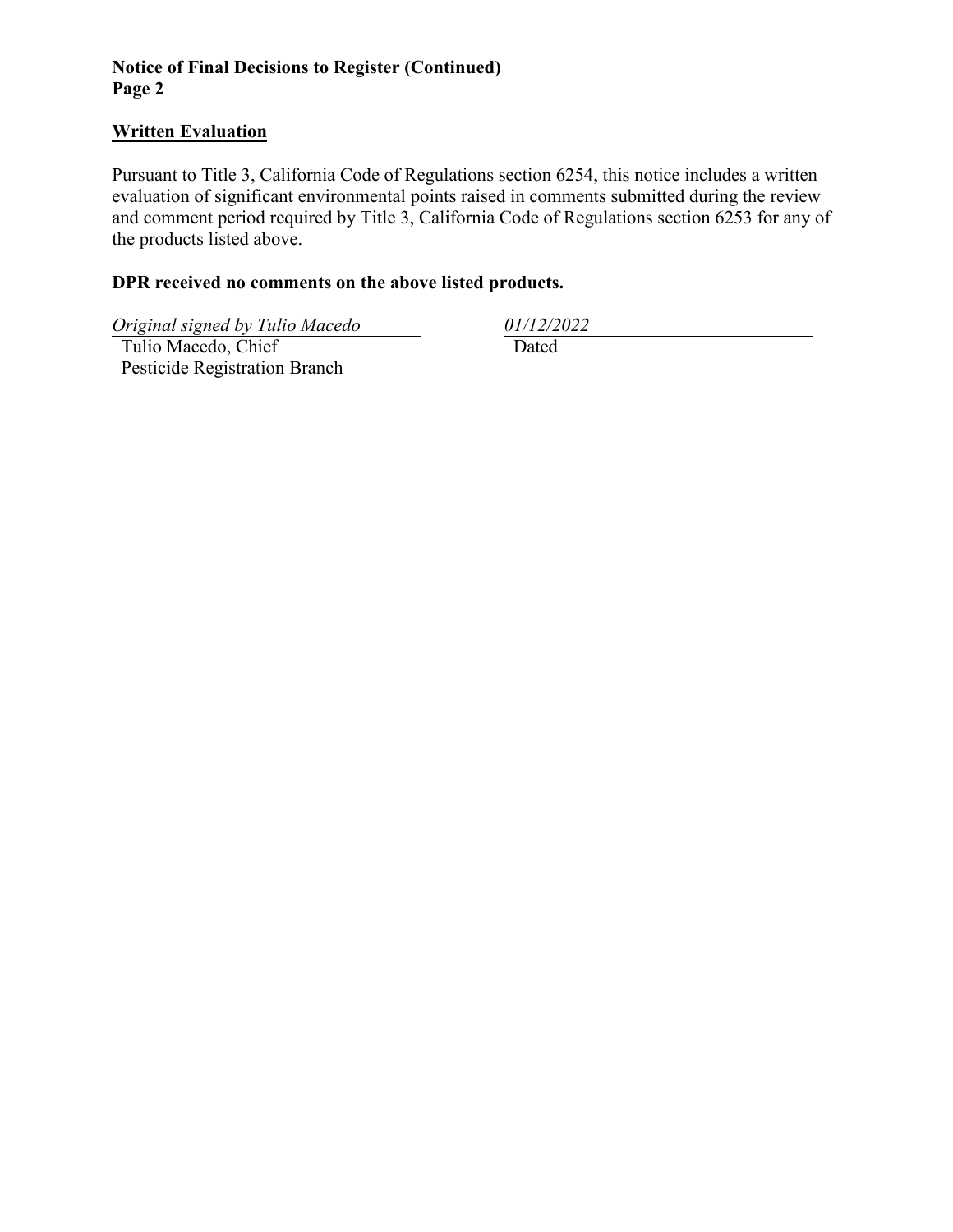# **Notice of Final Decisions to Register (Continued) Page 2**

#### **Written Evaluation**

Pursuant to Title 3, California Code of Regulations section 6254, this notice includes a written evaluation of significant environmental points raised in comments submitted during the review and comment period required by Title 3, California Code of Regulations section 6253 for any of the products listed above.

## **DPR received no comments on the above listed products.**

*Original signed by Tulio Macedo 01/12/2022*

 Tulio Macedo, Chief Pesticide Registration Branch

Dated